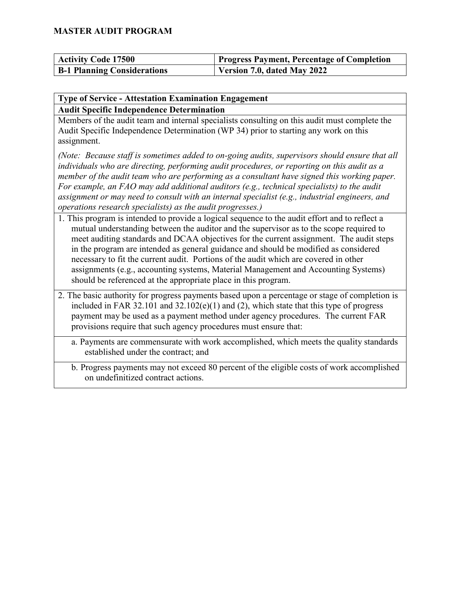| <b>Activity Code 17500</b>         | Progress Payment, Percentage of Completion |
|------------------------------------|--------------------------------------------|
| <b>B-1 Planning Considerations</b> | Version 7.0, dated May 2022                |

#### **Type of Service - Attestation Examination Engagement Audit Specific Independence Determination**

Members of the audit team and internal specialists consulting on this audit must complete the Audit Specific Independence Determination (WP 34) prior to starting any work on this assignment.

*(Note: Because staff is sometimes added to on-going audits, supervisors should ensure that all individuals who are directing, performing audit procedures, or reporting on this audit as a member of the audit team who are performing as a consultant have signed this working paper. For example, an FAO may add additional auditors (e.g., technical specialists) to the audit assignment or may need to consult with an internal specialist (e.g., industrial engineers, and operations research specialists) as the audit progresses.)*

- 1. This program is intended to provide a logical sequence to the audit effort and to reflect a mutual understanding between the auditor and the supervisor as to the scope required to meet auditing standards and DCAA objectives for the current assignment. The audit steps in the program are intended as general guidance and should be modified as considered necessary to fit the current audit. Portions of the audit which are covered in other assignments (e.g., accounting systems, Material Management and Accounting Systems) should be referenced at the appropriate place in this program.
- 2. The basic authority for progress payments based upon a percentage or stage of completion is included in FAR 32.101 and  $32.102(e)(1)$  and (2), which state that this type of progress payment may be used as a payment method under agency procedures. The current FAR provisions require that such agency procedures must ensure that:
	- a. Payments are commensurate with work accomplished, which meets the quality standards established under the contract; and
	- b. Progress payments may not exceed 80 percent of the eligible costs of work accomplished on undefinitized contract actions.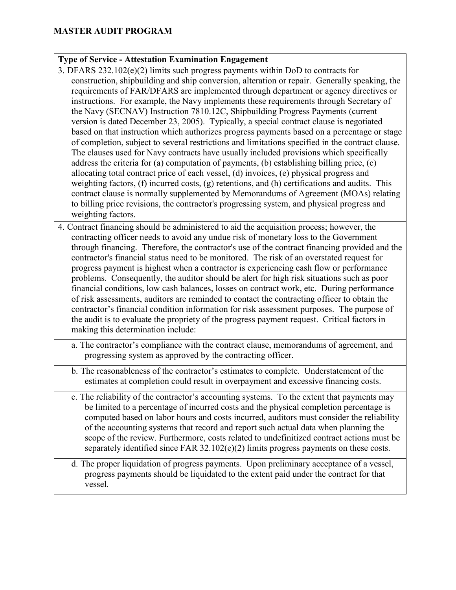#### **Type of Service - Attestation Examination Engagement**

- 3. DFARS 232.102(e)(2) limits such progress payments within DoD to contracts for construction, shipbuilding and ship conversion, alteration or repair. Generally speaking, the requirements of FAR/DFARS are implemented through department or agency directives or instructions. For example, the Navy implements these requirements through Secretary of the Navy (SECNAV) Instruction 7810.12C, Shipbuilding Progress Payments (current version is dated December 23, 2005). Typically, a special contract clause is negotiated based on that instruction which authorizes progress payments based on a percentage or stage of completion, subject to several restrictions and limitations specified in the contract clause. The clauses used for Navy contracts have usually included provisions which specifically address the criteria for (a) computation of payments, (b) establishing billing price, (c) allocating total contract price of each vessel, (d) invoices, (e) physical progress and weighting factors, (f) incurred costs, (g) retentions, and (h) certifications and audits. This contract clause is normally supplemented by Memorandums of Agreement (MOAs) relating to billing price revisions, the contractor's progressing system, and physical progress and weighting factors.
- 4. Contract financing should be administered to aid the acquisition process; however, the contracting officer needs to avoid any undue risk of monetary loss to the Government through financing. Therefore, the contractor's use of the contract financing provided and the contractor's financial status need to be monitored. The risk of an overstated request for progress payment is highest when a contractor is experiencing cash flow or performance problems. Consequently, the auditor should be alert for high risk situations such as poor financial conditions, low cash balances, losses on contract work, etc. During performance of risk assessments, auditors are reminded to contact the contracting officer to obtain the contractor's financial condition information for risk assessment purposes. The purpose of the audit is to evaluate the propriety of the progress payment request. Critical factors in making this determination include:
	- a. The contractor's compliance with the contract clause, memorandums of agreement, and progressing system as approved by the contracting officer.
	- b. The reasonableness of the contractor's estimates to complete. Understatement of the estimates at completion could result in overpayment and excessive financing costs.
	- c. The reliability of the contractor's accounting systems. To the extent that payments may be limited to a percentage of incurred costs and the physical completion percentage is computed based on labor hours and costs incurred, auditors must consider the reliability of the accounting systems that record and report such actual data when planning the scope of the review. Furthermore, costs related to undefinitized contract actions must be separately identified since FAR  $32.102(e)(2)$  limits progress payments on these costs.
	- d. The proper liquidation of progress payments. Upon preliminary acceptance of a vessel, progress payments should be liquidated to the extent paid under the contract for that vessel.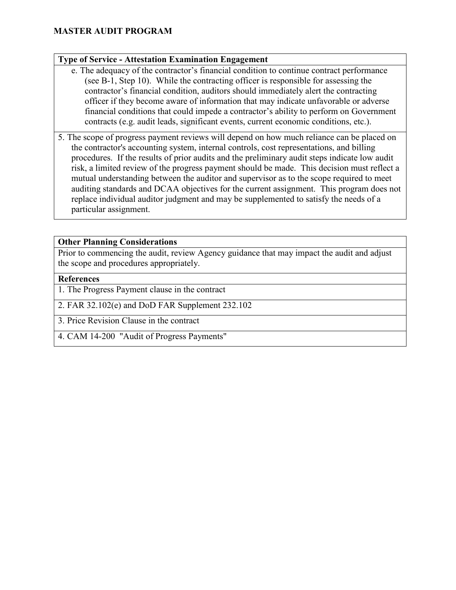#### **Type of Service - Attestation Examination Engagement**

- e. The adequacy of the contractor's financial condition to continue contract performance (see B-1, Step 10). While the contracting officer is responsible for assessing the contractor's financial condition, auditors should immediately alert the contracting officer if they become aware of information that may indicate unfavorable or adverse financial conditions that could impede a contractor's ability to perform on Government contracts (e.g. audit leads, significant events, current economic conditions, etc.).
- 5. The scope of progress payment reviews will depend on how much reliance can be placed on the contractor's accounting system, internal controls, cost representations, and billing procedures. If the results of prior audits and the preliminary audit steps indicate low audit risk, a limited review of the progress payment should be made. This decision must reflect a mutual understanding between the auditor and supervisor as to the scope required to meet auditing standards and DCAA objectives for the current assignment. This program does not replace individual auditor judgment and may be supplemented to satisfy the needs of a particular assignment.

#### **Other Planning Considerations**

Prior to commencing the audit, review Agency guidance that may impact the audit and adjust the scope and procedures appropriately.

#### **References**

1. The Progress Payment clause in the contract

2. FAR 32.102(e) and DoD FAR Supplement 232.102

3. Price Revision Clause in the contract

4. CAM 14-200 "Audit of Progress Payments"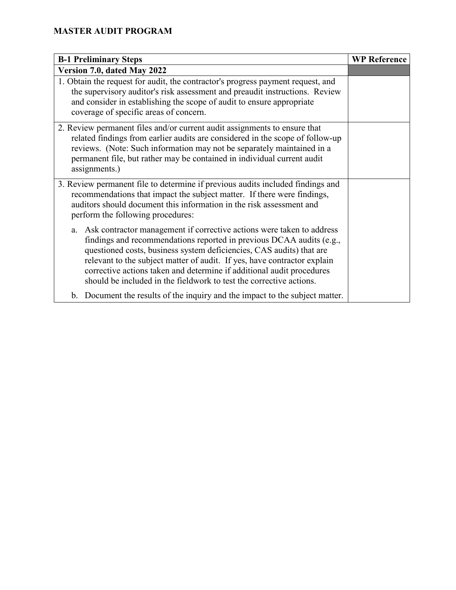| <b>B-1 Preliminary Steps</b>                                                                                                                                                                                                                                                                                                                                                                                                                            | <b>WP Reference</b> |
|---------------------------------------------------------------------------------------------------------------------------------------------------------------------------------------------------------------------------------------------------------------------------------------------------------------------------------------------------------------------------------------------------------------------------------------------------------|---------------------|
| Version 7.0, dated May 2022                                                                                                                                                                                                                                                                                                                                                                                                                             |                     |
| 1. Obtain the request for audit, the contractor's progress payment request, and<br>the supervisory auditor's risk assessment and preaudit instructions. Review<br>and consider in establishing the scope of audit to ensure appropriate<br>coverage of specific areas of concern.                                                                                                                                                                       |                     |
| 2. Review permanent files and/or current audit assignments to ensure that<br>related findings from earlier audits are considered in the scope of follow-up<br>reviews. (Note: Such information may not be separately maintained in a<br>permanent file, but rather may be contained in individual current audit<br>assignments.)                                                                                                                        |                     |
| 3. Review permanent file to determine if previous audits included findings and<br>recommendations that impact the subject matter. If there were findings,<br>auditors should document this information in the risk assessment and<br>perform the following procedures:                                                                                                                                                                                  |                     |
| Ask contractor management if corrective actions were taken to address<br>a.<br>findings and recommendations reported in previous DCAA audits (e.g.,<br>questioned costs, business system deficiencies, CAS audits) that are<br>relevant to the subject matter of audit. If yes, have contractor explain<br>corrective actions taken and determine if additional audit procedures<br>should be included in the fieldwork to test the corrective actions. |                     |
| b. Document the results of the inquiry and the impact to the subject matter.                                                                                                                                                                                                                                                                                                                                                                            |                     |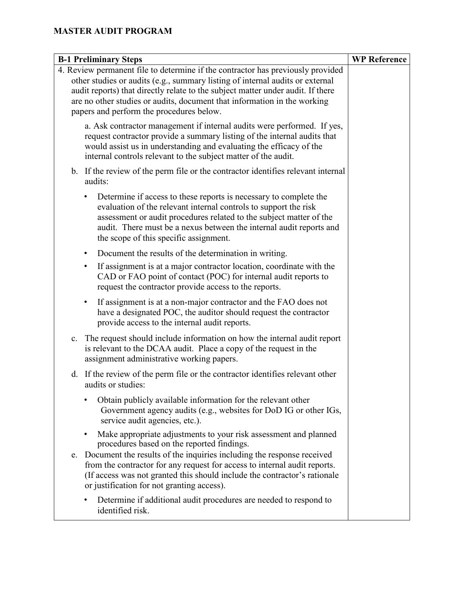| <b>B-1 Preliminary Steps</b>                                                                                                                                                                                                                                                                                                                                                | <b>WP Reference</b> |
|-----------------------------------------------------------------------------------------------------------------------------------------------------------------------------------------------------------------------------------------------------------------------------------------------------------------------------------------------------------------------------|---------------------|
| 4. Review permanent file to determine if the contractor has previously provided<br>other studies or audits (e.g., summary listing of internal audits or external<br>audit reports) that directly relate to the subject matter under audit. If there<br>are no other studies or audits, document that information in the working<br>papers and perform the procedures below. |                     |
| a. Ask contractor management if internal audits were performed. If yes,<br>request contractor provide a summary listing of the internal audits that<br>would assist us in understanding and evaluating the efficacy of the<br>internal controls relevant to the subject matter of the audit.                                                                                |                     |
| b. If the review of the perm file or the contractor identifies relevant internal<br>audits:                                                                                                                                                                                                                                                                                 |                     |
| Determine if access to these reports is necessary to complete the<br>٠<br>evaluation of the relevant internal controls to support the risk<br>assessment or audit procedures related to the subject matter of the<br>audit. There must be a nexus between the internal audit reports and<br>the scope of this specific assignment.                                          |                     |
| Document the results of the determination in writing.<br>$\bullet$                                                                                                                                                                                                                                                                                                          |                     |
| If assignment is at a major contractor location, coordinate with the<br>٠<br>CAD or FAO point of contact (POC) for internal audit reports to<br>request the contractor provide access to the reports.                                                                                                                                                                       |                     |
| If assignment is at a non-major contractor and the FAO does not<br>$\bullet$<br>have a designated POC, the auditor should request the contractor<br>provide access to the internal audit reports.                                                                                                                                                                           |                     |
| The request should include information on how the internal audit report<br>c.<br>is relevant to the DCAA audit. Place a copy of the request in the<br>assignment administrative working papers.                                                                                                                                                                             |                     |
| If the review of the perm file or the contractor identifies relevant other<br>d.<br>audits or studies:                                                                                                                                                                                                                                                                      |                     |
| Obtain publicly available information for the relevant other<br>Government agency audits (e.g., websites for DoD IG or other IGs,<br>service audit agencies, etc.).                                                                                                                                                                                                         |                     |
| Make appropriate adjustments to your risk assessment and planned<br>procedures based on the reported findings.                                                                                                                                                                                                                                                              |                     |
| e. Document the results of the inquiries including the response received<br>from the contractor for any request for access to internal audit reports.<br>(If access was not granted this should include the contractor's rationale<br>or justification for not granting access).                                                                                            |                     |
| Determine if additional audit procedures are needed to respond to<br>identified risk.                                                                                                                                                                                                                                                                                       |                     |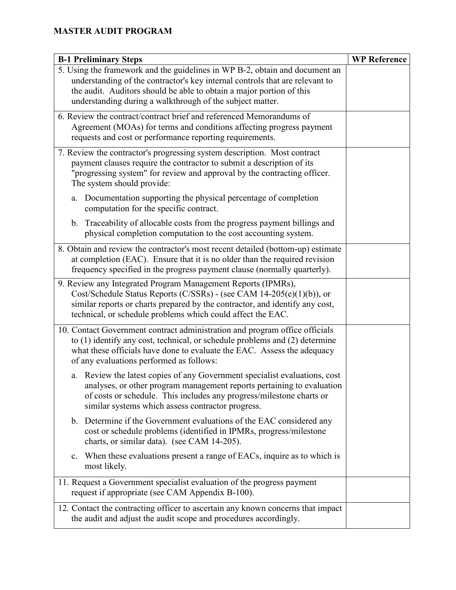| <b>B-1 Preliminary Steps</b>                                                                                                                                                                                                                                                                     | <b>WP Reference</b> |
|--------------------------------------------------------------------------------------------------------------------------------------------------------------------------------------------------------------------------------------------------------------------------------------------------|---------------------|
| 5. Using the framework and the guidelines in WP B-2, obtain and document an<br>understanding of the contractor's key internal controls that are relevant to<br>the audit. Auditors should be able to obtain a major portion of this<br>understanding during a walkthrough of the subject matter. |                     |
| 6. Review the contract/contract brief and referenced Memorandums of<br>Agreement (MOAs) for terms and conditions affecting progress payment<br>requests and cost or performance reporting requirements.                                                                                          |                     |
| 7. Review the contractor's progressing system description. Most contract<br>payment clauses require the contractor to submit a description of its<br>"progressing system" for review and approval by the contracting officer.<br>The system should provide:                                      |                     |
| Documentation supporting the physical percentage of completion<br>a.<br>computation for the specific contract.                                                                                                                                                                                   |                     |
| b. Traceability of allocable costs from the progress payment billings and<br>physical completion computation to the cost accounting system.                                                                                                                                                      |                     |
| 8. Obtain and review the contractor's most recent detailed (bottom-up) estimate<br>at completion (EAC). Ensure that it is no older than the required revision<br>frequency specified in the progress payment clause (normally quarterly).                                                        |                     |
| 9. Review any Integrated Program Management Reports (IPMRs),<br>Cost/Schedule Status Reports (C/SSRs) - (see CAM 14-205(e)(1)(b)), or<br>similar reports or charts prepared by the contractor, and identify any cost,<br>technical, or schedule problems which could affect the EAC.             |                     |
| 10. Contact Government contract administration and program office officials<br>to $(1)$ identify any cost, technical, or schedule problems and $(2)$ determine<br>what these officials have done to evaluate the EAC. Assess the adequacy<br>of any evaluations performed as follows:            |                     |
| Review the latest copies of any Government specialist evaluations, cost<br>a.<br>analyses, or other program management reports pertaining to evaluation<br>of costs or schedule. This includes any progress/milestone charts or<br>similar systems which assess contractor progress.             |                     |
| b. Determine if the Government evaluations of the EAC considered any<br>cost or schedule problems (identified in IPMRs, progress/milestone<br>charts, or similar data). (see CAM 14-205).                                                                                                        |                     |
| c. When these evaluations present a range of EACs, inquire as to which is<br>most likely.                                                                                                                                                                                                        |                     |
| 11. Request a Government specialist evaluation of the progress payment<br>request if appropriate (see CAM Appendix B-100).                                                                                                                                                                       |                     |
| 12. Contact the contracting officer to ascertain any known concerns that impact<br>the audit and adjust the audit scope and procedures accordingly.                                                                                                                                              |                     |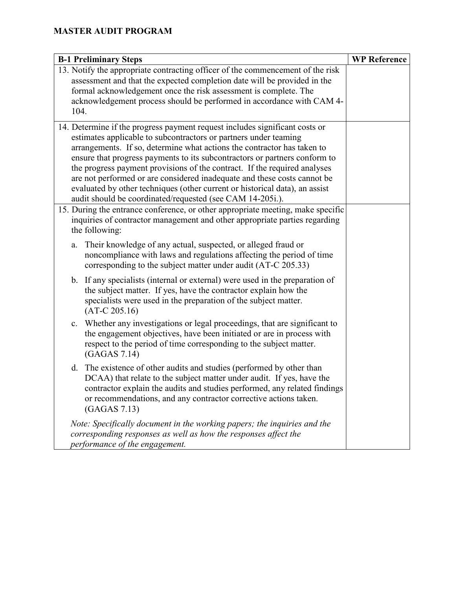| <b>B-1 Preliminary Steps</b>                                                                                                                                                                                                                                                                                                                                                                                                                                                                                                                                                                                  | <b>WP Reference</b> |
|---------------------------------------------------------------------------------------------------------------------------------------------------------------------------------------------------------------------------------------------------------------------------------------------------------------------------------------------------------------------------------------------------------------------------------------------------------------------------------------------------------------------------------------------------------------------------------------------------------------|---------------------|
| 13. Notify the appropriate contracting officer of the commencement of the risk<br>assessment and that the expected completion date will be provided in the<br>formal acknowledgement once the risk assessment is complete. The<br>acknowledgement process should be performed in accordance with CAM 4-<br>104.                                                                                                                                                                                                                                                                                               |                     |
| 14. Determine if the progress payment request includes significant costs or<br>estimates applicable to subcontractors or partners under teaming<br>arrangements. If so, determine what actions the contractor has taken to<br>ensure that progress payments to its subcontractors or partners conform to<br>the progress payment provisions of the contract. If the required analyses<br>are not performed or are considered inadequate and these costs cannot be<br>evaluated by other techniques (other current or historical data), an assist<br>audit should be coordinated/requested (see CAM 14-205i.). |                     |
| 15. During the entrance conference, or other appropriate meeting, make specific<br>inquiries of contractor management and other appropriate parties regarding<br>the following:                                                                                                                                                                                                                                                                                                                                                                                                                               |                     |
| Their knowledge of any actual, suspected, or alleged fraud or<br>a.<br>noncompliance with laws and regulations affecting the period of time<br>corresponding to the subject matter under audit (AT-C 205.33)                                                                                                                                                                                                                                                                                                                                                                                                  |                     |
| b. If any specialists (internal or external) were used in the preparation of<br>the subject matter. If yes, have the contractor explain how the<br>specialists were used in the preparation of the subject matter.<br>$(AT-C 205.16)$                                                                                                                                                                                                                                                                                                                                                                         |                     |
| Whether any investigations or legal proceedings, that are significant to<br>c.<br>the engagement objectives, have been initiated or are in process with<br>respect to the period of time corresponding to the subject matter.<br>(GAGAS 7.14)                                                                                                                                                                                                                                                                                                                                                                 |                     |
| The existence of other audits and studies (performed by other than<br>d.<br>DCAA) that relate to the subject matter under audit. If yes, have the<br>contractor explain the audits and studies performed, any related findings<br>or recommendations, and any contractor corrective actions taken.<br>(GAGAS 7.13)                                                                                                                                                                                                                                                                                            |                     |
| Note: Specifically document in the working papers; the inquiries and the<br>corresponding responses as well as how the responses affect the<br>performance of the engagement.                                                                                                                                                                                                                                                                                                                                                                                                                                 |                     |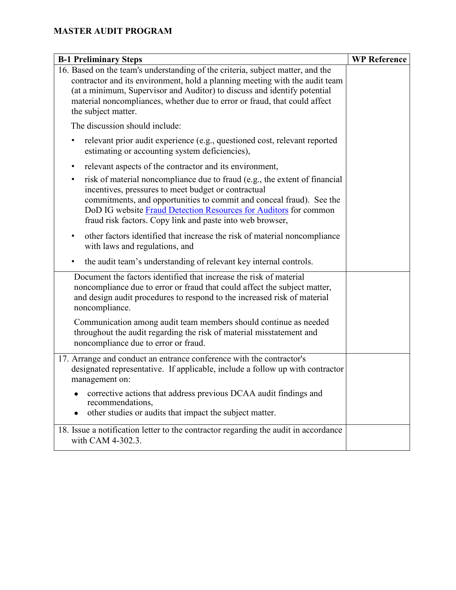| <b>B-1 Preliminary Steps</b>                                                                                                                                                                                                                                                                                                                    | <b>WP Reference</b> |
|-------------------------------------------------------------------------------------------------------------------------------------------------------------------------------------------------------------------------------------------------------------------------------------------------------------------------------------------------|---------------------|
| 16. Based on the team's understanding of the criteria, subject matter, and the<br>contractor and its environment, hold a planning meeting with the audit team<br>(at a minimum, Supervisor and Auditor) to discuss and identify potential<br>material noncompliances, whether due to error or fraud, that could affect<br>the subject matter.   |                     |
| The discussion should include:                                                                                                                                                                                                                                                                                                                  |                     |
| relevant prior audit experience (e.g., questioned cost, relevant reported<br>٠<br>estimating or accounting system deficiencies),                                                                                                                                                                                                                |                     |
| relevant aspects of the contractor and its environment,<br>٠                                                                                                                                                                                                                                                                                    |                     |
| risk of material noncompliance due to fraud (e.g., the extent of financial<br>٠<br>incentives, pressures to meet budget or contractual<br>commitments, and opportunities to commit and conceal fraud). See the<br>DoD IG website Fraud Detection Resources for Auditors for common<br>fraud risk factors. Copy link and paste into web browser, |                     |
| other factors identified that increase the risk of material noncompliance<br>٠<br>with laws and regulations, and                                                                                                                                                                                                                                |                     |
| the audit team's understanding of relevant key internal controls.<br>٠                                                                                                                                                                                                                                                                          |                     |
| Document the factors identified that increase the risk of material<br>noncompliance due to error or fraud that could affect the subject matter,<br>and design audit procedures to respond to the increased risk of material<br>noncompliance.                                                                                                   |                     |
| Communication among audit team members should continue as needed<br>throughout the audit regarding the risk of material misstatement and<br>noncompliance due to error or fraud.                                                                                                                                                                |                     |
| 17. Arrange and conduct an entrance conference with the contractor's<br>designated representative. If applicable, include a follow up with contractor<br>management on:                                                                                                                                                                         |                     |
| corrective actions that address previous DCAA audit findings and<br>recommendations,<br>other studies or audits that impact the subject matter.                                                                                                                                                                                                 |                     |
| 18. Issue a notification letter to the contractor regarding the audit in accordance<br>with CAM 4-302.3.                                                                                                                                                                                                                                        |                     |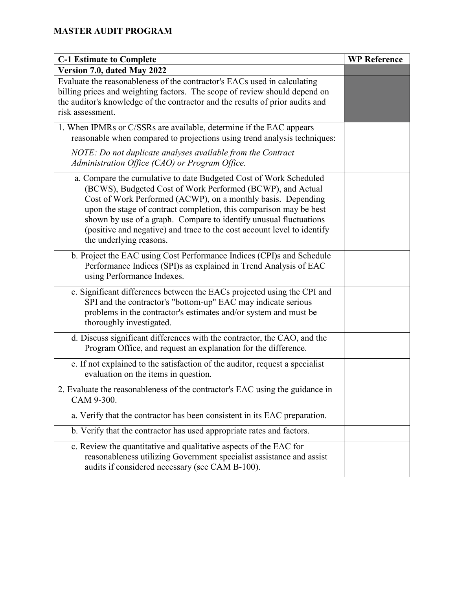| <b>C-1 Estimate to Complete</b>                                                                                                                                                                                                                                                                                                                                                                                                                  | <b>WP Reference</b> |
|--------------------------------------------------------------------------------------------------------------------------------------------------------------------------------------------------------------------------------------------------------------------------------------------------------------------------------------------------------------------------------------------------------------------------------------------------|---------------------|
| Version 7.0, dated May 2022                                                                                                                                                                                                                                                                                                                                                                                                                      |                     |
| Evaluate the reasonableness of the contractor's EACs used in calculating<br>billing prices and weighting factors. The scope of review should depend on<br>the auditor's knowledge of the contractor and the results of prior audits and<br>risk assessment.                                                                                                                                                                                      |                     |
| 1. When IPMRs or C/SSRs are available, determine if the EAC appears<br>reasonable when compared to projections using trend analysis techniques:                                                                                                                                                                                                                                                                                                  |                     |
| NOTE: Do not duplicate analyses available from the Contract<br>Administration Office (CAO) or Program Office.                                                                                                                                                                                                                                                                                                                                    |                     |
| a. Compare the cumulative to date Budgeted Cost of Work Scheduled<br>(BCWS), Budgeted Cost of Work Performed (BCWP), and Actual<br>Cost of Work Performed (ACWP), on a monthly basis. Depending<br>upon the stage of contract completion, this comparison may be best<br>shown by use of a graph. Compare to identify unusual fluctuations<br>(positive and negative) and trace to the cost account level to identify<br>the underlying reasons. |                     |
| b. Project the EAC using Cost Performance Indices (CPI)s and Schedule<br>Performance Indices (SPI)s as explained in Trend Analysis of EAC<br>using Performance Indexes.                                                                                                                                                                                                                                                                          |                     |
| c. Significant differences between the EACs projected using the CPI and<br>SPI and the contractor's "bottom-up" EAC may indicate serious<br>problems in the contractor's estimates and/or system and must be<br>thoroughly investigated.                                                                                                                                                                                                         |                     |
| d. Discuss significant differences with the contractor, the CAO, and the<br>Program Office, and request an explanation for the difference.                                                                                                                                                                                                                                                                                                       |                     |
| e. If not explained to the satisfaction of the auditor, request a specialist<br>evaluation on the items in question.                                                                                                                                                                                                                                                                                                                             |                     |
| 2. Evaluate the reasonableness of the contractor's EAC using the guidance in<br>CAM 9-300.                                                                                                                                                                                                                                                                                                                                                       |                     |
| a. Verify that the contractor has been consistent in its EAC preparation.                                                                                                                                                                                                                                                                                                                                                                        |                     |
| b. Verify that the contractor has used appropriate rates and factors.                                                                                                                                                                                                                                                                                                                                                                            |                     |
| c. Review the quantitative and qualitative aspects of the EAC for<br>reasonableness utilizing Government specialist assistance and assist<br>audits if considered necessary (see CAM B-100).                                                                                                                                                                                                                                                     |                     |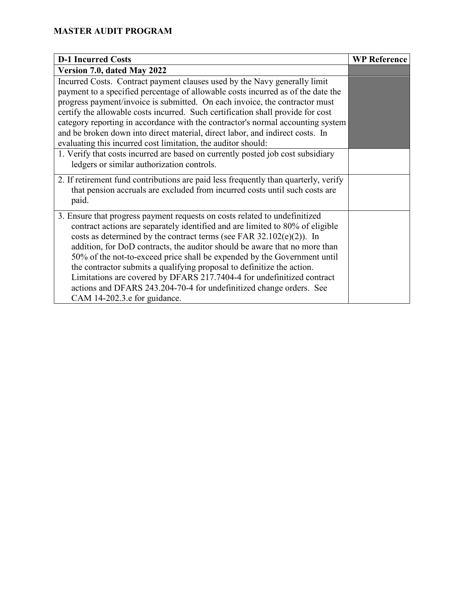| <b>D-1 Incurred Costs</b>                                                           | <b>WP Reference</b> |
|-------------------------------------------------------------------------------------|---------------------|
| Version 7.0, dated May 2022                                                         |                     |
| Incurred Costs. Contract payment clauses used by the Navy generally limit           |                     |
| payment to a specified percentage of allowable costs incurred as of the date the    |                     |
| progress payment/invoice is submitted. On each invoice, the contractor must         |                     |
| certify the allowable costs incurred. Such certification shall provide for cost     |                     |
| category reporting in accordance with the contractor's normal accounting system     |                     |
| and be broken down into direct material, direct labor, and indirect costs. In       |                     |
| evaluating this incurred cost limitation, the auditor should:                       |                     |
| 1. Verify that costs incurred are based on currently posted job cost subsidiary     |                     |
| ledgers or similar authorization controls.                                          |                     |
| 2. If retirement fund contributions are paid less frequently than quarterly, verify |                     |
| that pension accruals are excluded from incurred costs until such costs are         |                     |
| paid.                                                                               |                     |
| 3. Ensure that progress payment requests on costs related to undefinitized          |                     |
| contract actions are separately identified and are limited to 80% of eligible       |                     |
| costs as determined by the contract terms (see FAR $32.102(e)(2)$ ). In             |                     |
| addition, for DoD contracts, the auditor should be aware that no more than          |                     |
| 50% of the not-to-exceed price shall be expended by the Government until            |                     |
| the contractor submits a qualifying proposal to definitize the action.              |                     |
| Limitations are covered by DFARS 217.7404-4 for undefinitized contract              |                     |
| actions and DFARS 243.204-70-4 for undefinitized change orders. See                 |                     |
| CAM 14-202.3.e for guidance.                                                        |                     |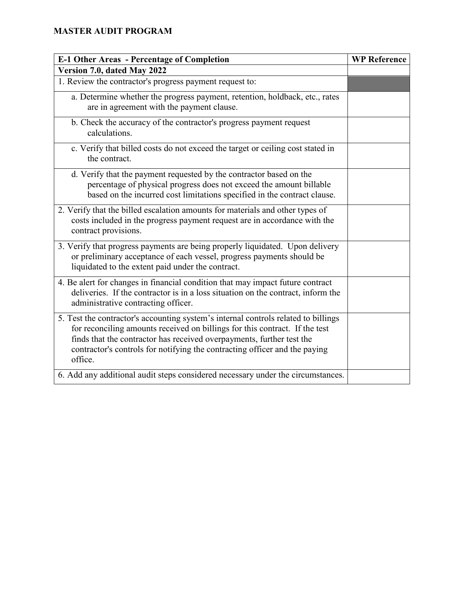| <b>E-1 Other Areas - Percentage of Completion</b>                                                                                                                                                                                                                                                                                   | <b>WP Reference</b> |
|-------------------------------------------------------------------------------------------------------------------------------------------------------------------------------------------------------------------------------------------------------------------------------------------------------------------------------------|---------------------|
| Version 7.0, dated May 2022                                                                                                                                                                                                                                                                                                         |                     |
| 1. Review the contractor's progress payment request to:                                                                                                                                                                                                                                                                             |                     |
| a. Determine whether the progress payment, retention, holdback, etc., rates<br>are in agreement with the payment clause.                                                                                                                                                                                                            |                     |
| b. Check the accuracy of the contractor's progress payment request<br>calculations.                                                                                                                                                                                                                                                 |                     |
| c. Verify that billed costs do not exceed the target or ceiling cost stated in<br>the contract.                                                                                                                                                                                                                                     |                     |
| d. Verify that the payment requested by the contractor based on the<br>percentage of physical progress does not exceed the amount billable<br>based on the incurred cost limitations specified in the contract clause.                                                                                                              |                     |
| 2. Verify that the billed escalation amounts for materials and other types of<br>costs included in the progress payment request are in accordance with the<br>contract provisions.                                                                                                                                                  |                     |
| 3. Verify that progress payments are being properly liquidated. Upon delivery<br>or preliminary acceptance of each vessel, progress payments should be<br>liquidated to the extent paid under the contract.                                                                                                                         |                     |
| 4. Be alert for changes in financial condition that may impact future contract<br>deliveries. If the contractor is in a loss situation on the contract, inform the<br>administrative contracting officer.                                                                                                                           |                     |
| 5. Test the contractor's accounting system's internal controls related to billings<br>for reconciling amounts received on billings for this contract. If the test<br>finds that the contractor has received overpayments, further test the<br>contractor's controls for notifying the contracting officer and the paying<br>office. |                     |
| 6. Add any additional audit steps considered necessary under the circumstances.                                                                                                                                                                                                                                                     |                     |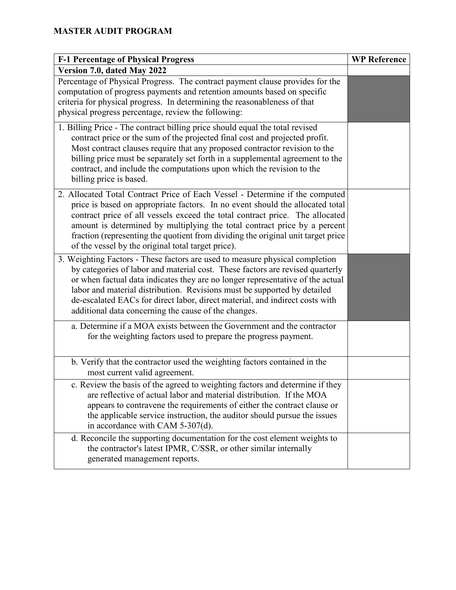| <b>F-1 Percentage of Physical Progress</b>                                                                                                                                                                                                                                                                                                                                                                                                                           | <b>WP Reference</b> |
|----------------------------------------------------------------------------------------------------------------------------------------------------------------------------------------------------------------------------------------------------------------------------------------------------------------------------------------------------------------------------------------------------------------------------------------------------------------------|---------------------|
| Version 7.0, dated May 2022                                                                                                                                                                                                                                                                                                                                                                                                                                          |                     |
| Percentage of Physical Progress. The contract payment clause provides for the<br>computation of progress payments and retention amounts based on specific<br>criteria for physical progress. In determining the reasonableness of that<br>physical progress percentage, review the following:                                                                                                                                                                        |                     |
| 1. Billing Price - The contract billing price should equal the total revised<br>contract price or the sum of the projected final cost and projected profit.<br>Most contract clauses require that any proposed contractor revision to the<br>billing price must be separately set forth in a supplemental agreement to the<br>contract, and include the computations upon which the revision to the<br>billing price is based.                                       |                     |
| 2. Allocated Total Contract Price of Each Vessel - Determine if the computed<br>price is based on appropriate factors. In no event should the allocated total<br>contract price of all vessels exceed the total contract price. The allocated<br>amount is determined by multiplying the total contract price by a percent<br>fraction (representing the quotient from dividing the original unit target price<br>of the vessel by the original total target price). |                     |
| 3. Weighting Factors - These factors are used to measure physical completion<br>by categories of labor and material cost. These factors are revised quarterly<br>or when factual data indicates they are no longer representative of the actual<br>labor and material distribution. Revisions must be supported by detailed<br>de-escalated EACs for direct labor, direct material, and indirect costs with<br>additional data concerning the cause of the changes.  |                     |
| a. Determine if a MOA exists between the Government and the contractor<br>for the weighting factors used to prepare the progress payment.                                                                                                                                                                                                                                                                                                                            |                     |
| b. Verify that the contractor used the weighting factors contained in the<br>most current valid agreement.                                                                                                                                                                                                                                                                                                                                                           |                     |
| c. Review the basis of the agreed to weighting factors and determine if they<br>are reflective of actual labor and material distribution. If the MOA<br>appears to contravene the requirements of either the contract clause or<br>the applicable service instruction, the auditor should pursue the issues<br>in accordance with CAM 5-307(d).                                                                                                                      |                     |
| d. Reconcile the supporting documentation for the cost element weights to<br>the contractor's latest IPMR, C/SSR, or other similar internally<br>generated management reports.                                                                                                                                                                                                                                                                                       |                     |